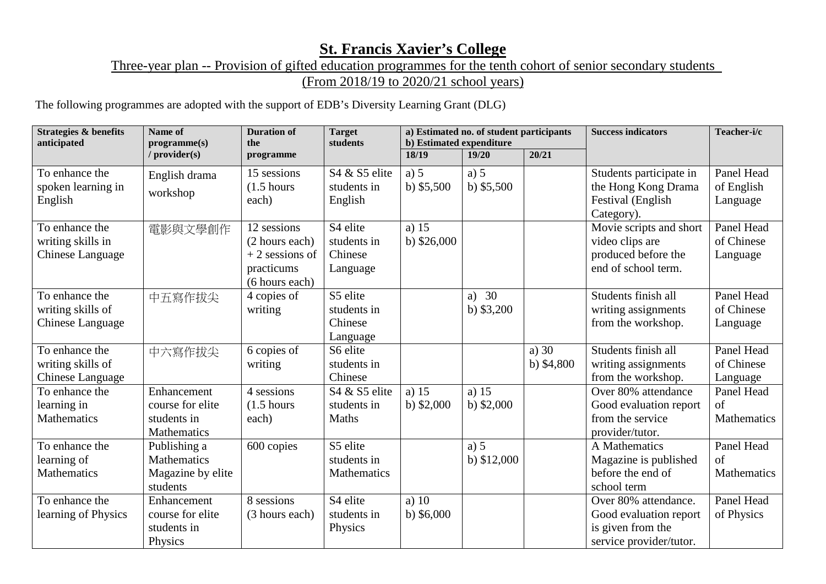## **St. Francis Xavier's College**

## Three-year plan -- Provision of gifted education programmes for the tenth cohort of senior secondary students (From 2018/19 to 2020/21 school years)

The following programmes are adopted with the support of EDB's Diversity Learning Grant (DLG)

| <b>Strategies &amp; benefits</b><br>anticipated                | Name of<br>programme(s)                                       | <b>Duration of</b><br>the                                                         | <b>Target</b><br>students                      | a) Estimated no. of student participants<br>b) Estimated expenditure |                        |                        | <b>Success indicators</b>                                                                      | Teacher-i/c                             |
|----------------------------------------------------------------|---------------------------------------------------------------|-----------------------------------------------------------------------------------|------------------------------------------------|----------------------------------------------------------------------|------------------------|------------------------|------------------------------------------------------------------------------------------------|-----------------------------------------|
|                                                                | / provider(s)                                                 | programme                                                                         |                                                | 18/19                                                                | 19/20                  | 20/21                  |                                                                                                |                                         |
| To enhance the<br>spoken learning in<br>English                | English drama<br>workshop                                     | 15 sessions<br>$(1.5 \text{ hours})$<br>each)                                     | S4 & S5 elite<br>students in<br>English        | a) $5$<br>b) $$5,500$                                                | a) $5$<br>b) $$5,500$  |                        | Students participate in<br>the Hong Kong Drama<br>Festival (English<br>Category).              | Panel Head<br>of English<br>Language    |
| To enhance the<br>writing skills in<br>Chinese Language        | 電影與文學創作                                                       | 12 sessions<br>(2 hours each)<br>$+2$ sessions of<br>practicums<br>(6 hours each) | S4 elite<br>students in<br>Chinese<br>Language | a) $15$<br>b) $$26,000$                                              |                        |                        | Movie scripts and short<br>video clips are<br>produced before the<br>end of school term.       | Panel Head<br>of Chinese<br>Language    |
| To enhance the<br>writing skills of<br><b>Chinese Language</b> | 中五寫作拔尖                                                        | 4 copies of<br>writing                                                            | S5 elite<br>students in<br>Chinese<br>Language |                                                                      | a) $30$<br>b) $$3,200$ |                        | Students finish all<br>writing assignments<br>from the workshop.                               | Panel Head<br>of Chinese<br>Language    |
| To enhance the<br>writing skills of<br>Chinese Language        | 中六寫作拔尖                                                        | 6 copies of<br>writing                                                            | S6 elite<br>students in<br>Chinese             |                                                                      |                        | a) $30$<br>b) $$4,800$ | Students finish all<br>writing assignments<br>from the workshop.                               | Panel Head<br>of Chinese<br>Language    |
| To enhance the<br>learning in<br><b>Mathematics</b>            | Enhancement<br>course for elite<br>students in<br>Mathematics | 4 sessions<br>$(1.5 \text{ hours})$<br>each)                                      | S4 & S5 elite<br>students in<br>Maths          | a) $15$<br>b) $$2,000$                                               | a) $15$<br>b) $$2,000$ |                        | Over 80% attendance<br>Good evaluation report<br>from the service<br>provider/tutor.           | Panel Head<br>of<br>Mathematics         |
| To enhance the<br>learning of<br><b>Mathematics</b>            | Publishing a<br>Mathematics<br>Magazine by elite<br>students  | 600 copies                                                                        | S5 elite<br>students in<br>Mathematics         |                                                                      | a) 5<br>b) $$12,000$   |                        | A Mathematics<br>Magazine is published<br>before the end of<br>school term                     | Panel Head<br>$\sigma$ f<br>Mathematics |
| To enhance the<br>learning of Physics                          | Enhancement<br>course for elite<br>students in<br>Physics     | 8 sessions<br>(3 hours each)                                                      | S4 elite<br>students in<br>Physics             | a) $10$<br>b) $$6,000$                                               |                        |                        | Over 80% attendance.<br>Good evaluation report<br>is given from the<br>service provider/tutor. | Panel Head<br>of Physics                |